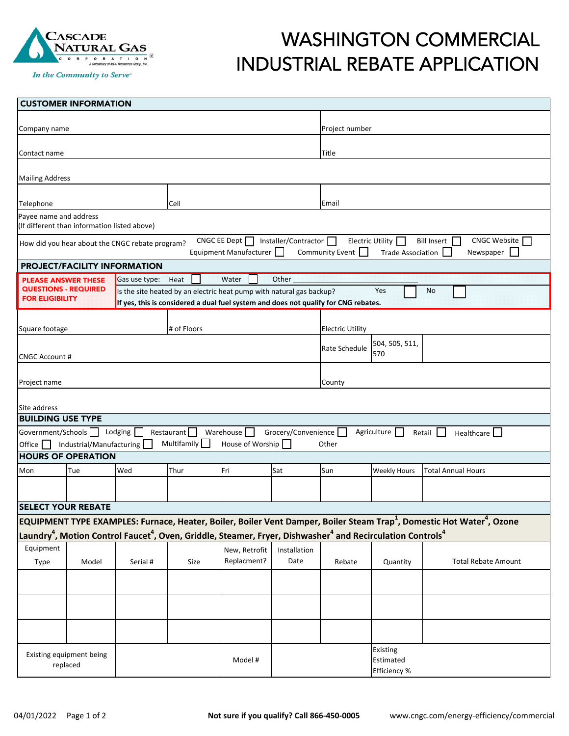

In the Community to Serve®

## WASHINGTON COMMERCIAL INDUSTRIAL REBATE APPLICATION

| <b>CUSTOMER INFORMATION</b>                                                                                                                                                                                                                   |                          |                                                                                                                                                            |                           |                               |                         |                |                                       |                                                                                                                                                |  |  |  |  |
|-----------------------------------------------------------------------------------------------------------------------------------------------------------------------------------------------------------------------------------------------|--------------------------|------------------------------------------------------------------------------------------------------------------------------------------------------------|---------------------------|-------------------------------|-------------------------|----------------|---------------------------------------|------------------------------------------------------------------------------------------------------------------------------------------------|--|--|--|--|
| Company name                                                                                                                                                                                                                                  |                          |                                                                                                                                                            |                           |                               |                         | Project number |                                       |                                                                                                                                                |  |  |  |  |
| Contact name                                                                                                                                                                                                                                  |                          |                                                                                                                                                            |                           |                               |                         | Title          |                                       |                                                                                                                                                |  |  |  |  |
| <b>Mailing Address</b>                                                                                                                                                                                                                        |                          |                                                                                                                                                            |                           |                               |                         |                |                                       |                                                                                                                                                |  |  |  |  |
| Telephone                                                                                                                                                                                                                                     |                          |                                                                                                                                                            | Cell                      |                               |                         | Email          |                                       |                                                                                                                                                |  |  |  |  |
| Payee name and address<br>(If different than information listed above)                                                                                                                                                                        |                          |                                                                                                                                                            |                           |                               |                         |                |                                       |                                                                                                                                                |  |  |  |  |
| CNGC Website<br>CNGC EE Dept<br>Installer/Contractor $\Box$<br>Electric Utility $\Box$<br>Bill Insert  <br>How did you hear about the CNGC rebate program?<br>Community Event<br>Newspaper<br>Equipment Manufacturer    <br>Trade Association |                          |                                                                                                                                                            |                           |                               |                         |                |                                       |                                                                                                                                                |  |  |  |  |
| PROJECT/FACILITY INFORMATION                                                                                                                                                                                                                  |                          |                                                                                                                                                            |                           |                               |                         |                |                                       |                                                                                                                                                |  |  |  |  |
| Other<br>Gas use type: Heat<br>Water<br><b>PLEASE ANSWER THESE</b>                                                                                                                                                                            |                          |                                                                                                                                                            |                           |                               |                         |                |                                       |                                                                                                                                                |  |  |  |  |
| <b>QUESTIONS - REQUIRED</b><br>Yes<br><b>No</b><br>Is the site heated by an electric heat pump with natural gas backup?<br><b>FOR ELIGIBILITY</b><br>If yes, this is considered a dual fuel system and does not qualify for CNG rebates.      |                          |                                                                                                                                                            |                           |                               |                         |                |                                       |                                                                                                                                                |  |  |  |  |
| Square footage                                                                                                                                                                                                                                |                          |                                                                                                                                                            | # of Floors               |                               | <b>Electric Utility</b> |                |                                       |                                                                                                                                                |  |  |  |  |
| <b>CNGC Account #</b>                                                                                                                                                                                                                         |                          |                                                                                                                                                            |                           |                               |                         | Rate Schedule  | 504, 505, 511,<br>570                 |                                                                                                                                                |  |  |  |  |
| Project name                                                                                                                                                                                                                                  |                          |                                                                                                                                                            |                           |                               |                         | County         |                                       |                                                                                                                                                |  |  |  |  |
| Site address                                                                                                                                                                                                                                  |                          |                                                                                                                                                            |                           |                               |                         |                |                                       |                                                                                                                                                |  |  |  |  |
| <b>BUILDING USE TYPE</b>                                                                                                                                                                                                                      |                          |                                                                                                                                                            |                           |                               |                         |                |                                       |                                                                                                                                                |  |  |  |  |
| Government/Schools<br>Office                                                                                                                                                                                                                  | Industrial/Manufacturing | Lodging                                                                                                                                                    | Restaurant<br>Multifamily | Warehouse<br>House of Worship | Grocery/Convenience     | Other          | Agriculture                           | Retail<br>Healthcare                                                                                                                           |  |  |  |  |
| <b>HOURS OF OPERATION</b>                                                                                                                                                                                                                     |                          |                                                                                                                                                            |                           |                               |                         |                |                                       |                                                                                                                                                |  |  |  |  |
| Mon                                                                                                                                                                                                                                           | Tue                      | Wed                                                                                                                                                        | Thur                      | Fri                           | Sat                     | Sun            | <b>Weekly Hours</b>                   | <b>Total Annual Hours</b>                                                                                                                      |  |  |  |  |
|                                                                                                                                                                                                                                               |                          |                                                                                                                                                            |                           |                               |                         |                |                                       |                                                                                                                                                |  |  |  |  |
| <b>SELECT YOUR REBATE</b>                                                                                                                                                                                                                     |                          |                                                                                                                                                            |                           |                               |                         |                |                                       |                                                                                                                                                |  |  |  |  |
|                                                                                                                                                                                                                                               |                          |                                                                                                                                                            |                           |                               |                         |                |                                       | EQUIPMENT TYPE EXAMPLES: Furnace, Heater, Boiler, Boiler Vent Damper, Boiler Steam Trap <sup>1</sup> , Domestic Hot Water <sup>4</sup> , Ozone |  |  |  |  |
|                                                                                                                                                                                                                                               |                          | Laundry <sup>4</sup> , Motion Control Faucet <sup>4</sup> , Oven, Griddle, Steamer, Fryer, Dishwasher <sup>4</sup> and Recirculation Controls <sup>4</sup> |                           |                               |                         |                |                                       |                                                                                                                                                |  |  |  |  |
| Equipment                                                                                                                                                                                                                                     |                          |                                                                                                                                                            |                           | New, Retrofit                 | Installation            |                |                                       |                                                                                                                                                |  |  |  |  |
| Type                                                                                                                                                                                                                                          | Model                    | Serial #                                                                                                                                                   | Size                      | Replacment?                   | Date                    | Rebate         | Quantity                              | <b>Total Rebate Amount</b>                                                                                                                     |  |  |  |  |
|                                                                                                                                                                                                                                               |                          |                                                                                                                                                            |                           |                               |                         |                |                                       |                                                                                                                                                |  |  |  |  |
|                                                                                                                                                                                                                                               |                          |                                                                                                                                                            |                           |                               |                         |                |                                       |                                                                                                                                                |  |  |  |  |
|                                                                                                                                                                                                                                               |                          |                                                                                                                                                            |                           |                               |                         |                |                                       |                                                                                                                                                |  |  |  |  |
| Existing equipment being<br>replaced                                                                                                                                                                                                          |                          |                                                                                                                                                            |                           | Model #                       |                         |                | Existing<br>Estimated<br>Efficiency % |                                                                                                                                                |  |  |  |  |